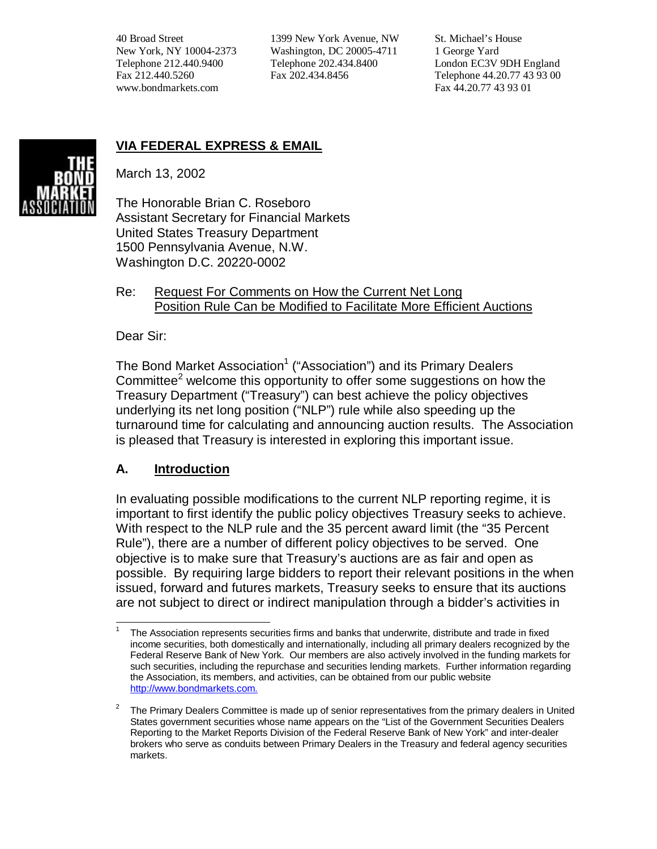40 Broad Street New York, NY 10004-2373 Telephone 212.440.9400 Fax 212.440.5260 www.bondmarkets.com

1399 New York Avenue, NW Washington, DC 20005-4711 Telephone 202.434.8400 Fax 202.434.8456

St. Michael's House 1 George Yard London EC3V 9DH England Telephone 44.20.77 43 93 00 Fax 44.20.77 43 93 01



# **VIA FEDERAL EXPRESS & EMAIL**

March 13, 2002

The Honorable Brian C. Roseboro Assistant Secretary for Financial Markets United States Treasury Department 1500 Pennsylvania Avenue, N.W. Washington D.C. 20220-0002

#### Re: Request For Comments on How the Current Net Long Position Rule Can be Modified to Facilitate More Efficient Auctions

Dear Sir:

The Bond Market Association<sup>1</sup> ("Association") and its Primary Dealers Committee $^2$  welcome this opportunity to offer some suggestions on how the Treasury Department ("Treasury") can best achieve the policy objectives underlying its net long position ("NLP") rule while also speeding up the turnaround time for calculating and announcing auction results. The Association is pleased that Treasury is interested in exploring this important issue.

## **A. Introduction**

In evaluating possible modifications to the current NLP reporting regime, it is important to first identify the public policy objectives Treasury seeks to achieve. With respect to the NLP rule and the 35 percent award limit (the "35 Percent Rule"), there are a number of different policy objectives to be served. One objective is to make sure that Treasury's auctions are as fair and open as possible. By requiring large bidders to report their relevant positions in the when issued, forward and futures markets, Treasury seeks to ensure that its auctions are not subject to direct or indirect manipulation through a bidder's activities in

l 1 The Association represents securities firms and banks that underwrite, distribute and trade in fixed income securities, both domestically and internationally, including all primary dealers recognized by the Federal Reserve Bank of New York. Our members are also actively involved in the funding markets for such securities, including the repurchase and securities lending markets. Further information regarding the Association, its members, and activities, can be obtained from our public website [http://www.bondmarkets.com.](http://www.publicdebt.treas.gov/cgi-bin/cgiwrap/~www/bpdRedirect.cgi?www.bondmarkets.com/)

<sup>2</sup> The Primary Dealers Committee is made up of senior representatives from the primary dealers in United States government securities whose name appears on the "List of the Government Securities Dealers Reporting to the Market Reports Division of the Federal Reserve Bank of New York" and inter-dealer brokers who serve as conduits between Primary Dealers in the Treasury and federal agency securities markets.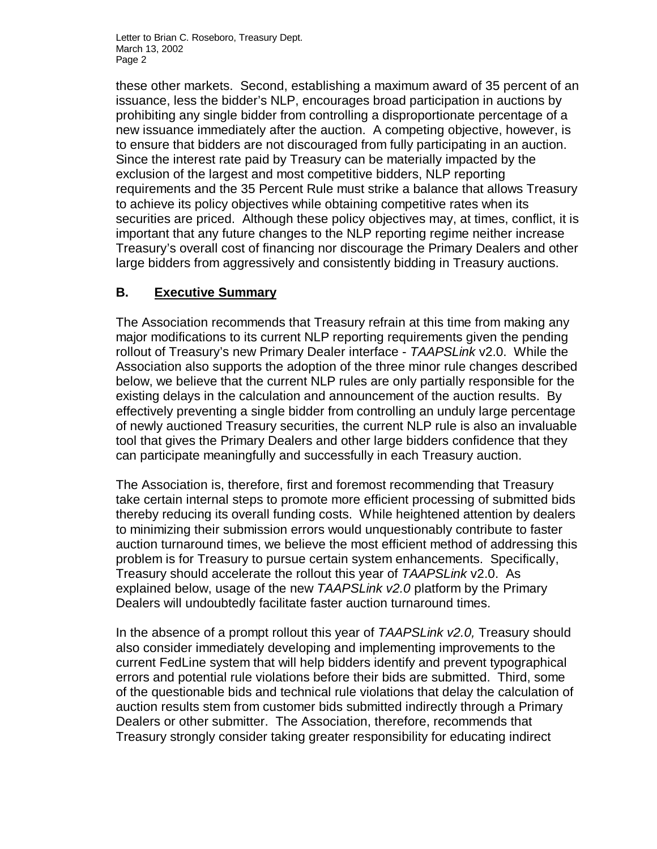these other markets. Second, establishing a maximum award of 35 percent of an issuance, less the bidder's NLP, encourages broad participation in auctions by prohibiting any single bidder from controlling a disproportionate percentage of a new issuance immediately after the auction. A competing objective, however, is to ensure that bidders are not discouraged from fully participating in an auction. Since the interest rate paid by Treasury can be materially impacted by the exclusion of the largest and most competitive bidders, NLP reporting requirements and the 35 Percent Rule must strike a balance that allows Treasury to achieve its policy objectives while obtaining competitive rates when its securities are priced. Although these policy objectives may, at times, conflict, it is important that any future changes to the NLP reporting regime neither increase Treasury's overall cost of financing nor discourage the Primary Dealers and other large bidders from aggressively and consistently bidding in Treasury auctions.

## **B. Executive Summary**

The Association recommends that Treasury refrain at this time from making any major modifications to its current NLP reporting requirements given the pending rollout of Treasury's new Primary Dealer interface - *TAAPSLink* v2.0. While the Association also supports the adoption of the three minor rule changes described below, we believe that the current NLP rules are only partially responsible for the existing delays in the calculation and announcement of the auction results. By effectively preventing a single bidder from controlling an unduly large percentage of newly auctioned Treasury securities, the current NLP rule is also an invaluable tool that gives the Primary Dealers and other large bidders confidence that they can participate meaningfully and successfully in each Treasury auction.

The Association is, therefore, first and foremost recommending that Treasury take certain internal steps to promote more efficient processing of submitted bids thereby reducing its overall funding costs. While heightened attention by dealers to minimizing their submission errors would unquestionably contribute to faster auction turnaround times, we believe the most efficient method of addressing this problem is for Treasury to pursue certain system enhancements. Specifically, Treasury should accelerate the rollout this year of *TAAPSLink* v2.0. As explained below, usage of the new *TAAPSLink v2.0* platform by the Primary Dealers will undoubtedly facilitate faster auction turnaround times.

In the absence of a prompt rollout this year of *TAAPSLink v2.0,* Treasury should also consider immediately developing and implementing improvements to the current FedLine system that will help bidders identify and prevent typographical errors and potential rule violations before their bids are submitted. Third, some of the questionable bids and technical rule violations that delay the calculation of auction results stem from customer bids submitted indirectly through a Primary Dealers or other submitter. The Association, therefore, recommends that Treasury strongly consider taking greater responsibility for educating indirect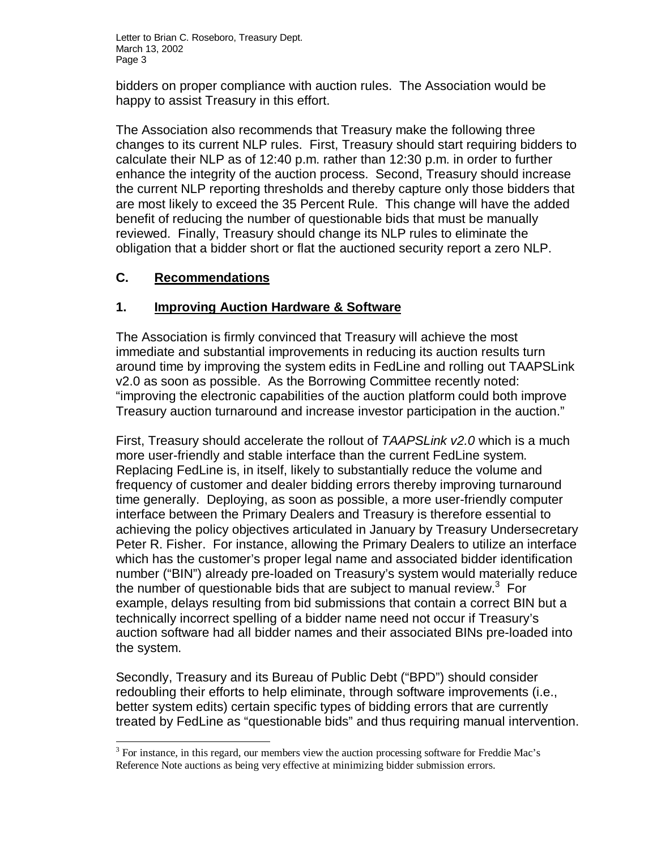bidders on proper compliance with auction rules. The Association would be happy to assist Treasury in this effort.

The Association also recommends that Treasury make the following three changes to its current NLP rules. First, Treasury should start requiring bidders to calculate their NLP as of 12:40 p.m. rather than 12:30 p.m. in order to further enhance the integrity of the auction process. Second, Treasury should increase the current NLP reporting thresholds and thereby capture only those bidders that are most likely to exceed the 35 Percent Rule. This change will have the added benefit of reducing the number of questionable bids that must be manually reviewed. Finally, Treasury should change its NLP rules to eliminate the obligation that a bidder short or flat the auctioned security report a zero NLP.

## **C. Recommendations**

l

#### **1. Improving Auction Hardware & Software**

The Association is firmly convinced that Treasury will achieve the most immediate and substantial improvements in reducing its auction results turn around time by improving the system edits in FedLine and rolling out TAAPSLink v2.0 as soon as possible. As the Borrowing Committee recently noted: "improving the electronic capabilities of the auction platform could both improve Treasury auction turnaround and increase investor participation in the auction."

First, Treasury should accelerate the rollout of *TAAPSLink v2.0* which is a much more user-friendly and stable interface than the current FedLine system. Replacing FedLine is, in itself, likely to substantially reduce the volume and frequency of customer and dealer bidding errors thereby improving turnaround time generally. Deploying, as soon as possible, a more user-friendly computer interface between the Primary Dealers and Treasury is therefore essential to achieving the policy objectives articulated in January by Treasury Undersecretary Peter R. Fisher. For instance, allowing the Primary Dealers to utilize an interface which has the customer's proper legal name and associated bidder identification number ("BIN") already pre-loaded on Treasury's system would materially reduce the number of questionable bids that are subject to manual review. $3$  For example, delays resulting from bid submissions that contain a correct BIN but a technically incorrect spelling of a bidder name need not occur if Treasury's auction software had all bidder names and their associated BINs pre-loaded into the system.

Secondly, Treasury and its Bureau of Public Debt ("BPD") should consider redoubling their efforts to help eliminate, through software improvements (i.e., better system edits) certain specific types of bidding errors that are currently treated by FedLine as "questionable bids" and thus requiring manual intervention.

 $3$  For instance, in this regard, our members view the auction processing software for Freddie Mac's Reference Note auctions as being very effective at minimizing bidder submission errors.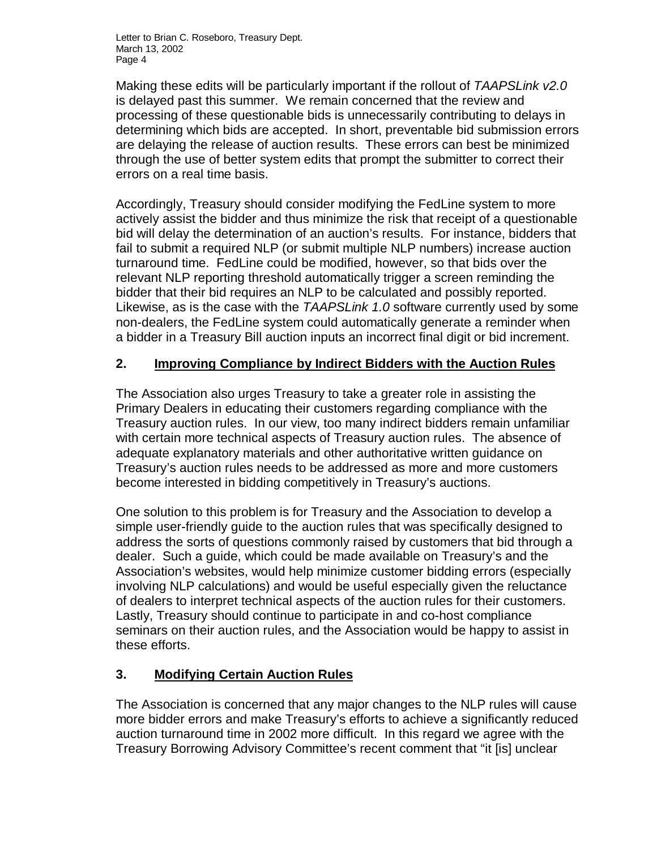Making these edits will be particularly important if the rollout of *TAAPSLink v2.0* is delayed past this summer. We remain concerned that the review and processing of these questionable bids is unnecessarily contributing to delays in determining which bids are accepted. In short, preventable bid submission errors are delaying the release of auction results. These errors can best be minimized through the use of better system edits that prompt the submitter to correct their errors on a real time basis.

Accordingly, Treasury should consider modifying the FedLine system to more actively assist the bidder and thus minimize the risk that receipt of a questionable bid will delay the determination of an auction's results. For instance, bidders that fail to submit a required NLP (or submit multiple NLP numbers) increase auction turnaround time. FedLine could be modified, however, so that bids over the relevant NLP reporting threshold automatically trigger a screen reminding the bidder that their bid requires an NLP to be calculated and possibly reported. Likewise, as is the case with the *TAAPSLink 1.0* software currently used by some non-dealers, the FedLine system could automatically generate a reminder when a bidder in a Treasury Bill auction inputs an incorrect final digit or bid increment.

#### **2. Improving Compliance by Indirect Bidders with the Auction Rules**

The Association also urges Treasury to take a greater role in assisting the Primary Dealers in educating their customers regarding compliance with the Treasury auction rules. In our view, too many indirect bidders remain unfamiliar with certain more technical aspects of Treasury auction rules. The absence of adequate explanatory materials and other authoritative written guidance on Treasury's auction rules needs to be addressed as more and more customers become interested in bidding competitively in Treasury's auctions.

One solution to this problem is for Treasury and the Association to develop a simple user-friendly guide to the auction rules that was specifically designed to address the sorts of questions commonly raised by customers that bid through a dealer. Such a guide, which could be made available on Treasury's and the Association's websites, would help minimize customer bidding errors (especially involving NLP calculations) and would be useful especially given the reluctance of dealers to interpret technical aspects of the auction rules for their customers. Lastly, Treasury should continue to participate in and co-host compliance seminars on their auction rules, and the Association would be happy to assist in these efforts.

## **3. Modifying Certain Auction Rules**

The Association is concerned that any major changes to the NLP rules will cause more bidder errors and make Treasury's efforts to achieve a significantly reduced auction turnaround time in 2002 more difficult. In this regard we agree with the Treasury Borrowing Advisory Committee's recent comment that "it [is] unclear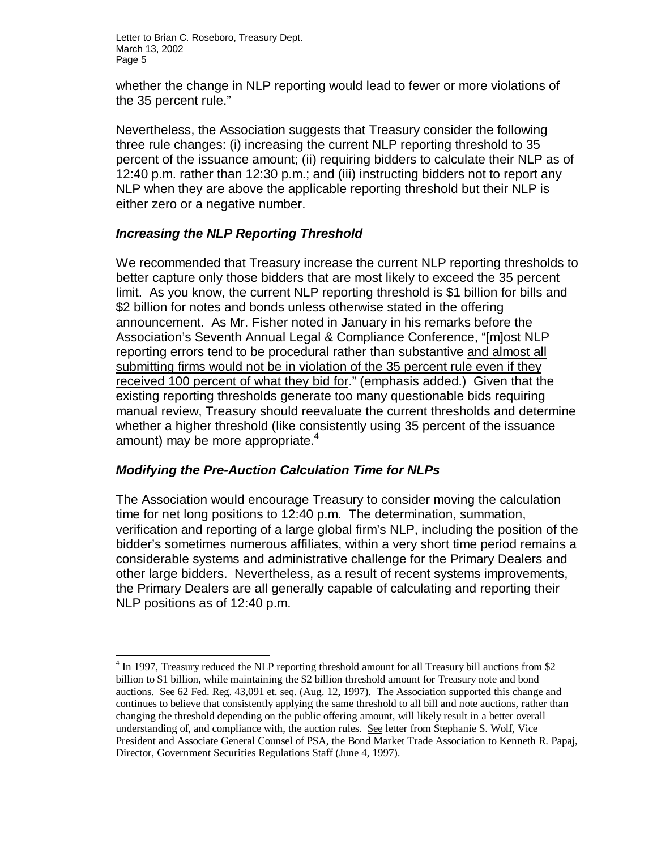whether the change in NLP reporting would lead to fewer or more violations of the 35 percent rule."

Nevertheless, the Association suggests that Treasury consider the following three rule changes: (i) increasing the current NLP reporting threshold to 35 percent of the issuance amount; (ii) requiring bidders to calculate their NLP as of 12:40 p.m. rather than 12:30 p.m.; and (iii) instructing bidders not to report any NLP when they are above the applicable reporting threshold but their NLP is either zero or a negative number.

#### *Increasing the NLP Reporting Threshold*

We recommended that Treasury increase the current NLP reporting thresholds to better capture only those bidders that are most likely to exceed the 35 percent limit. As you know, the current NLP reporting threshold is \$1 billion for bills and \$2 billion for notes and bonds unless otherwise stated in the offering announcement. As Mr. Fisher noted in January in his remarks before the Association's Seventh Annual Legal & Compliance Conference, "[m]ost NLP reporting errors tend to be procedural rather than substantive and almost all submitting firms would not be in violation of the 35 percent rule even if they received 100 percent of what they bid for." (emphasis added.) Given that the existing reporting thresholds generate too many questionable bids requiring manual review, Treasury should reevaluate the current thresholds and determine whether a higher threshold (like consistently using 35 percent of the issuance amount) may be more appropriate.<sup>4</sup>

#### *Modifying the Pre-Auction Calculation Time for NLPs*

1

The Association would encourage Treasury to consider moving the calculation time for net long positions to 12:40 p.m. The determination, summation, verification and reporting of a large global firm's NLP, including the position of the bidder's sometimes numerous affiliates, within a very short time period remains a considerable systems and administrative challenge for the Primary Dealers and other large bidders. Nevertheless, as a result of recent systems improvements, the Primary Dealers are all generally capable of calculating and reporting their NLP positions as of 12:40 p.m.

<sup>&</sup>lt;sup>4</sup> In 1997, Treasury reduced the NLP reporting threshold amount for all Treasury bill auctions from \$2 billion to \$1 billion, while maintaining the \$2 billion threshold amount for Treasury note and bond auctions. See 62 Fed. Reg. 43,091 et. seq. (Aug. 12, 1997). The Association supported this change and continues to believe that consistently applying the same threshold to all bill and note auctions, rather than changing the threshold depending on the public offering amount, will likely result in a better overall understanding of, and compliance with, the auction rules. See letter from Stephanie S. Wolf, Vice President and Associate General Counsel of PSA, the Bond Market Trade Association to Kenneth R. Papaj, Director, Government Securities Regulations Staff (June 4, 1997).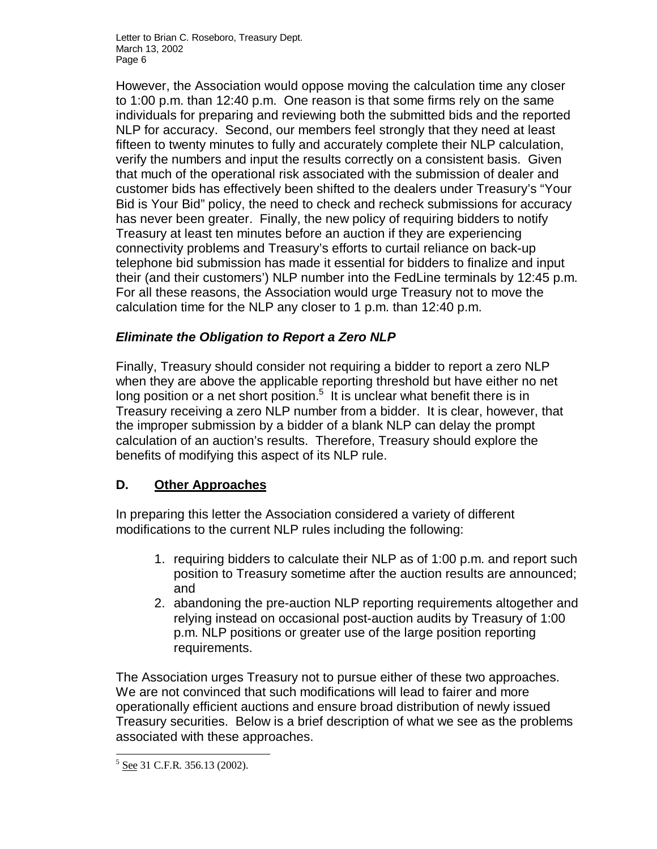However, the Association would oppose moving the calculation time any closer to 1:00 p.m. than 12:40 p.m. One reason is that some firms rely on the same individuals for preparing and reviewing both the submitted bids and the reported NLP for accuracy. Second, our members feel strongly that they need at least fifteen to twenty minutes to fully and accurately complete their NLP calculation, verify the numbers and input the results correctly on a consistent basis. Given that much of the operational risk associated with the submission of dealer and customer bids has effectively been shifted to the dealers under Treasury's "Your Bid is Your Bid" policy, the need to check and recheck submissions for accuracy has never been greater. Finally, the new policy of requiring bidders to notify Treasury at least ten minutes before an auction if they are experiencing connectivity problems and Treasury's efforts to curtail reliance on back-up telephone bid submission has made it essential for bidders to finalize and input their (and their customers') NLP number into the FedLine terminals by 12:45 p.m. For all these reasons, the Association would urge Treasury not to move the calculation time for the NLP any closer to 1 p.m. than 12:40 p.m.

#### *Eliminate the Obligation to Report a Zero NLP*

Finally, Treasury should consider not requiring a bidder to report a zero NLP when they are above the applicable reporting threshold but have either no net long position or a net short position.<sup>5</sup> It is unclear what benefit there is in Treasury receiving a zero NLP number from a bidder. It is clear, however, that the improper submission by a bidder of a blank NLP can delay the prompt calculation of an auction's results. Therefore, Treasury should explore the benefits of modifying this aspect of its NLP rule.

## **D. Other Approaches**

In preparing this letter the Association considered a variety of different modifications to the current NLP rules including the following:

- 1. requiring bidders to calculate their NLP as of 1:00 p.m. and report such position to Treasury sometime after the auction results are announced; and
- 2. abandoning the pre-auction NLP reporting requirements altogether and relying instead on occasional post-auction audits by Treasury of 1:00 p.m. NLP positions or greater use of the large position reporting requirements.

The Association urges Treasury not to pursue either of these two approaches. We are not convinced that such modifications will lead to fairer and more operationally efficient auctions and ensure broad distribution of newly issued Treasury securities. Below is a brief description of what we see as the problems associated with these approaches.

<sup>1</sup>  $5$  See 31 C.F.R. 356.13 (2002).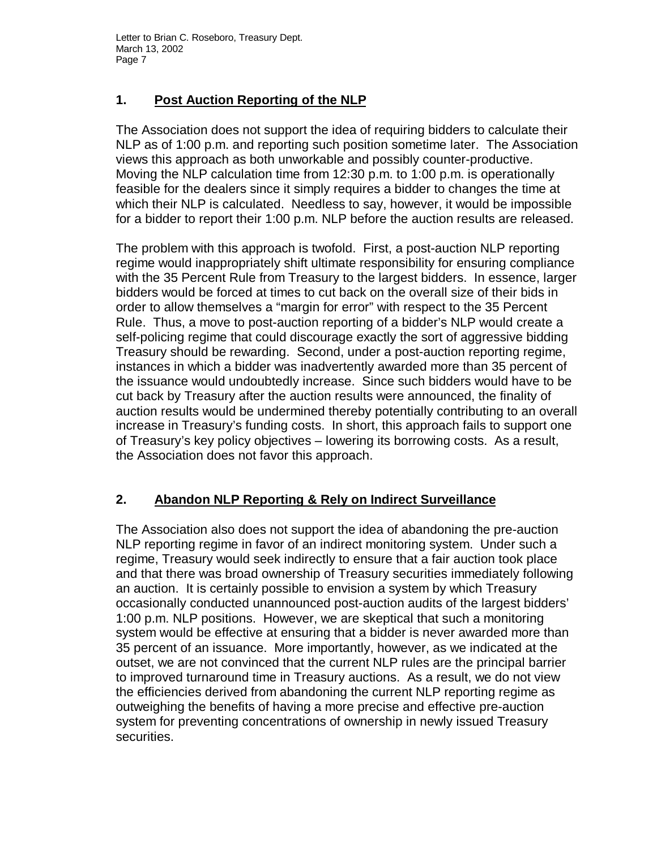## **1. Post Auction Reporting of the NLP**

The Association does not support the idea of requiring bidders to calculate their NLP as of 1:00 p.m. and reporting such position sometime later. The Association views this approach as both unworkable and possibly counter-productive. Moving the NLP calculation time from 12:30 p.m. to 1:00 p.m. is operationally feasible for the dealers since it simply requires a bidder to changes the time at which their NLP is calculated. Needless to say, however, it would be impossible for a bidder to report their 1:00 p.m. NLP before the auction results are released.

The problem with this approach is twofold. First, a post-auction NLP reporting regime would inappropriately shift ultimate responsibility for ensuring compliance with the 35 Percent Rule from Treasury to the largest bidders. In essence, larger bidders would be forced at times to cut back on the overall size of their bids in order to allow themselves a "margin for error" with respect to the 35 Percent Rule. Thus, a move to post-auction reporting of a bidder's NLP would create a self-policing regime that could discourage exactly the sort of aggressive bidding Treasury should be rewarding. Second, under a post-auction reporting regime, instances in which a bidder was inadvertently awarded more than 35 percent of the issuance would undoubtedly increase. Since such bidders would have to be cut back by Treasury after the auction results were announced, the finality of auction results would be undermined thereby potentially contributing to an overall increase in Treasury's funding costs. In short, this approach fails to support one of Treasury's key policy objectives – lowering its borrowing costs. As a result, the Association does not favor this approach.

## **2. Abandon NLP Reporting & Rely on Indirect Surveillance**

The Association also does not support the idea of abandoning the pre-auction NLP reporting regime in favor of an indirect monitoring system. Under such a regime, Treasury would seek indirectly to ensure that a fair auction took place and that there was broad ownership of Treasury securities immediately following an auction. It is certainly possible to envision a system by which Treasury occasionally conducted unannounced post-auction audits of the largest bidders' 1:00 p.m. NLP positions. However, we are skeptical that such a monitoring system would be effective at ensuring that a bidder is never awarded more than 35 percent of an issuance. More importantly, however, as we indicated at the outset, we are not convinced that the current NLP rules are the principal barrier to improved turnaround time in Treasury auctions. As a result, we do not view the efficiencies derived from abandoning the current NLP reporting regime as outweighing the benefits of having a more precise and effective pre-auction system for preventing concentrations of ownership in newly issued Treasury securities.